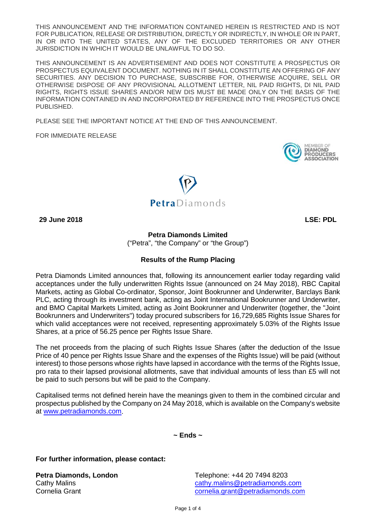THIS ANNOUNCEMENT AND THE INFORMATION CONTAINED HEREIN IS RESTRICTED AND IS NOT FOR PUBLICATION, RELEASE OR DISTRIBUTION, DIRECTLY OR INDIRECTLY, IN WHOLE OR IN PART, IN OR INTO THE UNITED STATES, ANY OF THE EXCLUDED TERRITORIES OR ANY OTHER JURISDICTION IN WHICH IT WOULD BE UNLAWFUL TO DO SO.

THIS ANNOUNCEMENT IS AN ADVERTISEMENT AND DOES NOT CONSTITUTE A PROSPECTUS OR PROSPECTUS EQUIVALENT DOCUMENT. NOTHING IN IT SHALL CONSTITUTE AN OFFERING OF ANY SECURITIES. ANY DECISION TO PURCHASE, SUBSCRIBE FOR, OTHERWISE ACQUIRE, SELL OR OTHERWISE DISPOSE OF ANY PROVISIONAL ALLOTMENT LETTER, NIL PAID RIGHTS, DI NIL PAID RIGHTS, RIGHTS ISSUE SHARES AND/OR NEW DIS MUST BE MADE ONLY ON THE BASIS OF THE INFORMATION CONTAINED IN AND INCORPORATED BY REFERENCE INTO THE PROSPECTUS ONCE PUBLISHED.

PLEASE SEE THE IMPORTANT NOTICE AT THE END OF THIS ANNOUNCEMENT.

FOR IMMEDIATE RELEASE





**29 June 2018 LSE: PDL**

**Petra Diamonds Limited** 

("Petra", "the Company" or "the Group")

## **Results of the Rump Placing**

Petra Diamonds Limited announces that, following its announcement earlier today regarding valid acceptances under the fully underwritten Rights Issue (announced on 24 May 2018), RBC Capital Markets, acting as Global Co-ordinator, Sponsor, Joint Bookrunner and Underwriter, Barclays Bank PLC, acting through its investment bank, acting as Joint International Bookrunner and Underwriter, and BMO Capital Markets Limited, acting as Joint Bookrunner and Underwriter (together, the "Joint Bookrunners and Underwriters") today procured subscribers for 16,729,685 Rights Issue Shares for which valid acceptances were not received, representing approximately 5.03% of the Rights Issue Shares, at a price of 56.25 pence per Rights Issue Share.

The net proceeds from the placing of such Rights Issue Shares (after the deduction of the Issue Price of 40 pence per Rights Issue Share and the expenses of the Rights Issue) will be paid (without interest) to those persons whose rights have lapsed in accordance with the terms of the Rights Issue, pro rata to their lapsed provisional allotments, save that individual amounts of less than £5 will not be paid to such persons but will be paid to the Company.

Capitalised terms not defined herein have the meanings given to them in the combined circular and prospectus published by the Company on 24 May 2018, which is available on the Company's website at [www.petradiamonds.com.](http://www.petradiamonds.com/)

**~ Ends ~**

**For further information, please contact:**

**Petra Diamonds, London** Telephone: +44 20 7494 8203 Cathy Malins [cathy.malins@petradiamonds.com](mailto:cathy.malins@petradiamonds.com) Cornelia Grant [cornelia.grant@petradiamonds.com](mailto:cornelia.grant@petradiamonds.com)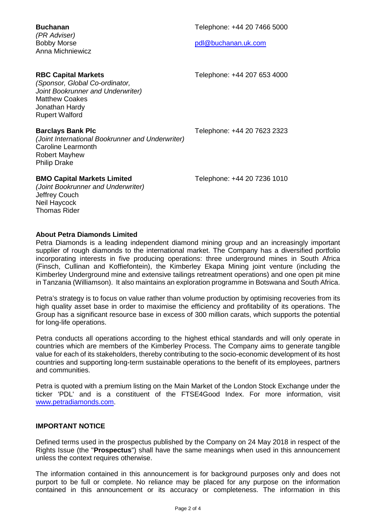| <b>Buchanan</b><br>(PR Adviser)<br><b>Bobby Morse</b><br>Anna Michniewicz                                                                                             | Telephone: +44 20 7466 5000<br>pdl@buchanan.uk.com |
|-----------------------------------------------------------------------------------------------------------------------------------------------------------------------|----------------------------------------------------|
| <b>RBC Capital Markets</b><br>(Sponsor, Global Co-ordinator,<br>Joint Bookrunner and Underwriter)<br><b>Matthew Coakes</b><br>Jonathan Hardy<br><b>Rupert Walford</b> | Telephone: +44 207 653 4000                        |
| <b>Barclays Bank Plc</b><br>(Joint International Bookrunner and Underwriter)<br><b>Caroline Learmonth</b><br><b>Robert Mayhew</b><br><b>Philip Drake</b>              | Telephone: +44 20 7623 2323                        |
| <b>BMO Capital Markets Limited</b><br>(Joint Bookrunner and Underwriter)<br>Jeffrey Couch<br>Neil Haycock<br><b>Thomas Rider</b>                                      | Telephone: +44 20 7236 1010                        |

## **About Petra Diamonds Limited**

Petra Diamonds is a leading independent diamond mining group and an increasingly important supplier of rough diamonds to the international market. The Company has a diversified portfolio incorporating interests in five producing operations: three underground mines in South Africa (Finsch, Cullinan and Koffiefontein), the Kimberley Ekapa Mining joint venture (including the Kimberley Underground mine and extensive tailings retreatment operations) and one open pit mine in Tanzania (Williamson). It also maintains an exploration programme in Botswana and South Africa.

Petra's strategy is to focus on value rather than volume production by optimising recoveries from its high quality asset base in order to maximise the efficiency and profitability of its operations. The Group has a significant resource base in excess of 300 million carats, which supports the potential for long-life operations.

Petra conducts all operations according to the highest ethical standards and will only operate in countries which are members of the Kimberley Process. The Company aims to generate tangible value for each of its stakeholders, thereby contributing to the socio-economic development of its host countries and supporting long-term sustainable operations to the benefit of its employees, partners and communities.

Petra is quoted with a premium listing on the Main Market of the London Stock Exchange under the ticker 'PDL' and is a constituent of the FTSE4Good Index. For more information, visit [www.petradiamonds.com.](http://www.petradiamonds.com/)

## **IMPORTANT NOTICE**

Defined terms used in the prospectus published by the Company on 24 May 2018 in respect of the Rights Issue (the "**Prospectus**") shall have the same meanings when used in this announcement unless the context requires otherwise.

The information contained in this announcement is for background purposes only and does not purport to be full or complete. No reliance may be placed for any purpose on the information contained in this announcement or its accuracy or completeness. The information in this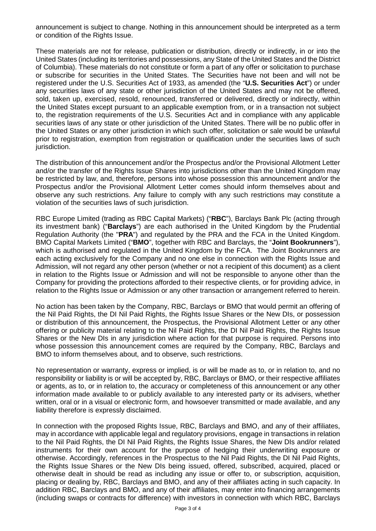announcement is subject to change. Nothing in this announcement should be interpreted as a term or condition of the Rights Issue.

These materials are not for release, publication or distribution, directly or indirectly, in or into the United States (including its territories and possessions, any State of the United States and the District of Columbia). These materials do not constitute or form a part of any offer or solicitation to purchase or subscribe for securities in the United States. The Securities have not been and will not be registered under the U.S. Securities Act of 1933, as amended (the "**U.S. Securities Act**") or under any securities laws of any state or other jurisdiction of the United States and may not be offered, sold, taken up, exercised, resold, renounced, transferred or delivered, directly or indirectly, within the United States except pursuant to an applicable exemption from, or in a transaction not subject to, the registration requirements of the U.S. Securities Act and in compliance with any applicable securities laws of any state or other jurisdiction of the United States. There will be no public offer in the United States or any other jurisdiction in which such offer, solicitation or sale would be unlawful prior to registration, exemption from registration or qualification under the securities laws of such jurisdiction.

The distribution of this announcement and/or the Prospectus and/or the Provisional Allotment Letter and/or the transfer of the Rights Issue Shares into jurisdictions other than the United Kingdom may be restricted by law, and, therefore, persons into whose possession this announcement and/or the Prospectus and/or the Provisional Allotment Letter comes should inform themselves about and observe any such restrictions. Any failure to comply with any such restrictions may constitute a violation of the securities laws of such jurisdiction.

RBC Europe Limited (trading as RBC Capital Markets) ("**RBC**"), Barclays Bank Plc (acting through its investment bank) ("**Barclays**") are each authorised in the United Kingdom by the Prudential Regulation Authority (the "**PRA**") and regulated by the PRA and the FCA in the United Kingdom. BMO Capital Markets Limited ("**BMO**", together with RBC and Barclays, the "**Joint Bookrunners**"), which is authorised and regulated in the United Kingdom by the FCA. The Joint Bookrunners are each acting exclusively for the Company and no one else in connection with the Rights Issue and Admission, will not regard any other person (whether or not a recipient of this document) as a client in relation to the Rights Issue or Admission and will not be responsible to anyone other than the Company for providing the protections afforded to their respective clients, or for providing advice, in relation to the Rights Issue or Admission or any other transaction or arrangement referred to herein.

No action has been taken by the Company, RBC, Barclays or BMO that would permit an offering of the Nil Paid Rights, the DI Nil Paid Rights, the Rights Issue Shares or the New DIs, or possession or distribution of this announcement, the Prospectus, the Provisional Allotment Letter or any other offering or publicity material relating to the Nil Paid Rights, the DI Nil Paid Rights, the Rights Issue Shares or the New DIs in any jurisdiction where action for that purpose is required. Persons into whose possession this announcement comes are required by the Company, RBC, Barclays and BMO to inform themselves about, and to observe, such restrictions.

No representation or warranty, express or implied, is or will be made as to, or in relation to, and no responsibility or liability is or will be accepted by, RBC, Barclays or BMO, or their respective affiliates or agents, as to, or in relation to, the accuracy or completeness of this announcement or any other information made available to or publicly available to any interested party or its advisers, whether written, oral or in a visual or electronic form, and howsoever transmitted or made available, and any liability therefore is expressly disclaimed.

In connection with the proposed Rights Issue, RBC, Barclays and BMO, and any of their affiliates, may in accordance with applicable legal and regulatory provisions, engage in transactions in relation to the Nil Paid Rights, the DI Nil Paid Rights, the Rights Issue Shares, the New DIs and/or related instruments for their own account for the purpose of hedging their underwriting exposure or otherwise. Accordingly, references in the Prospectus to the Nil Paid Rights, the DI Nil Paid Rights, the Rights Issue Shares or the New DIs being issued, offered, subscribed, acquired, placed or otherwise dealt in should be read as including any issue or offer to, or subscription, acquisition, placing or dealing by, RBC, Barclays and BMO, and any of their affiliates acting in such capacity. In addition RBC, Barclays and BMO, and any of their affiliates, may enter into financing arrangements (including swaps or contracts for difference) with investors in connection with which RBC, Barclays